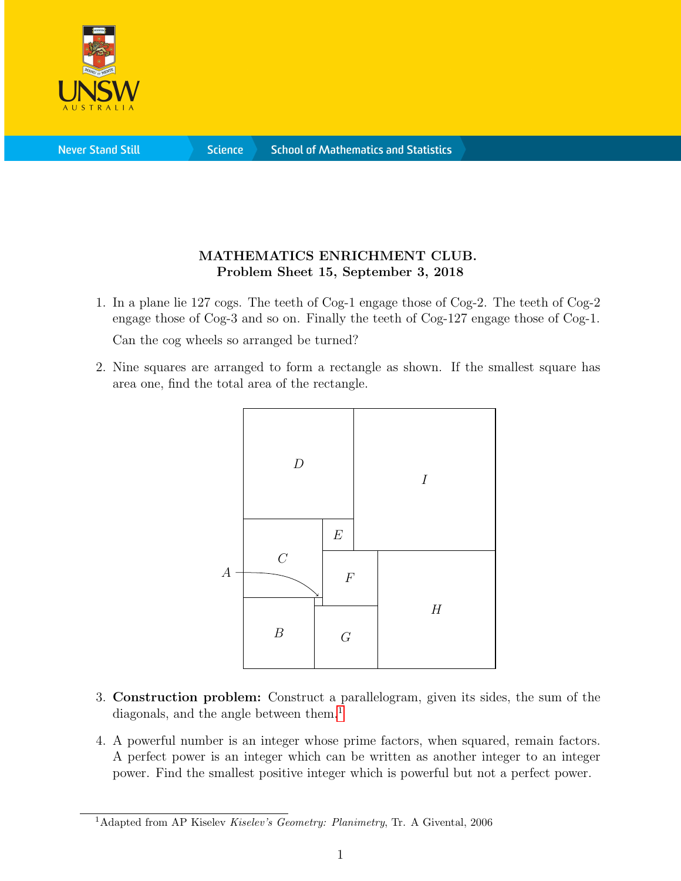

**Science** 

## MATHEMATICS ENRICHMENT CLUB. Problem Sheet 15, September 3, 2018

1. In a plane lie 127 cogs. The teeth of Cog-1 engage those of Cog-2. The teeth of Cog-2 engage those of Cog-3 and so on. Finally the teeth of Cog-127 engage those of Cog-1.

Can the cog wheels so arranged be turned?

2. Nine squares are arranged to form a rectangle as shown. If the smallest square has area one, find the total area of the rectangle.



- 3. Construction problem: Construct a parallelogram, given its sides, the sum of the diagonals, and the angle between them.<sup>[1](#page-0-0)</sup>
- 4. A powerful number is an integer whose prime factors, when squared, remain factors. A perfect power is an integer which can be written as another integer to an integer power. Find the smallest positive integer which is powerful but not a perfect power.

<span id="page-0-0"></span><sup>&</sup>lt;sup>1</sup>Adapted from AP Kiselev Kiselev's Geometry: Planimetry, Tr. A Givental, 2006